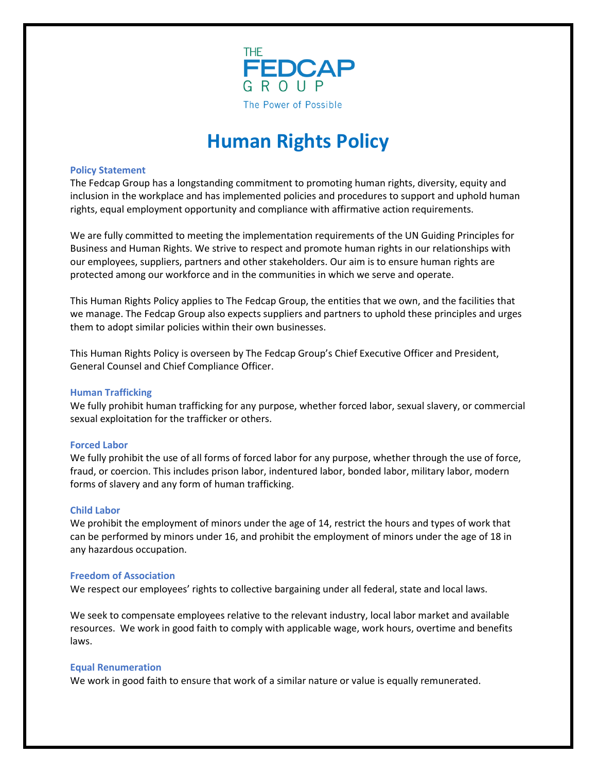

# **Human Rights Policy**

## **Policy Statement**

The Fedcap Group has a longstanding commitment to promoting human rights, diversity, equity and inclusion in the workplace and has implemented policies and procedures to support and uphold human rights, equal employment opportunity and compliance with affirmative action requirements.

We are fully committed to meeting the implementation requirements of the UN Guiding Principles for Business and Human Rights. We strive to respect and promote human rights in our relationships with our employees, suppliers, partners and other stakeholders. Our aim is to ensure human rights are protected among our workforce and in the communities in which we serve and operate.

This Human Rights Policy applies to The Fedcap Group, the entities that we own, and the facilities that we manage. The Fedcap Group also expects suppliers and partners to uphold these principles and urges them to adopt similar policies within their own businesses.

This Human Rights Policy is overseen by The Fedcap Group's Chief Executive Officer and President, General Counsel and Chief Compliance Officer.

# **Human Trafficking**

We fully prohibit human trafficking for any purpose, whether forced labor, sexual slavery, or commercial sexual exploitation for the trafficker or others.

# **Forced Labor**

We fully prohibit the use of all forms of forced labor for any purpose, whether through the use of force, fraud, or coercion. This includes prison labor, indentured labor, bonded labor, military labor, modern forms of slavery and any form of human trafficking.

## **Child Labor**

We prohibit the employment of minors under the age of 14, restrict the hours and types of work that can be performed by minors under 16, and prohibit the employment of minors under the age of 18 in any hazardous occupation.

## **Freedom of Association**

We respect our employees' rights to collective bargaining under all federal, state and local laws.

We seek to compensate employees relative to the relevant industry, local labor market and available resources. We work in good faith to comply with applicable wage, work hours, overtime and benefits laws.

## **Equal Renumeration**

We work in good faith to ensure that work of a similar nature or value is equally remunerated.